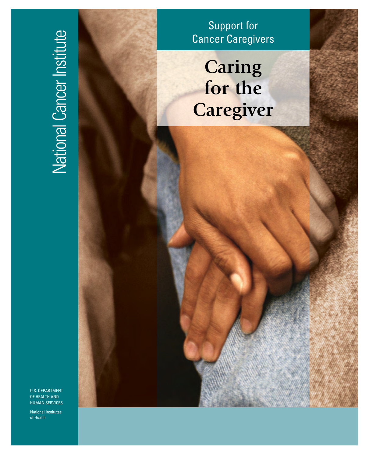Support for Cancer Caregivers

**Caring for the Caregiver**

U.S. DEPARTMENT OF HEALTH AND HUMAN SERVICES

National Institutes of Health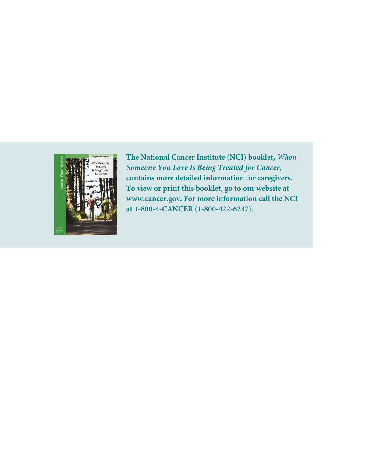

**The National Cancer Institute (NCI) booklet,** *When Someone You Love Is Being Treated for Cancer,* **contains more detailed information for caregivers. To view or print this booklet, go to our website at www.cancer.gov. For more information call the NCI at 1-800-4-CANCER (1-800-422-6237).**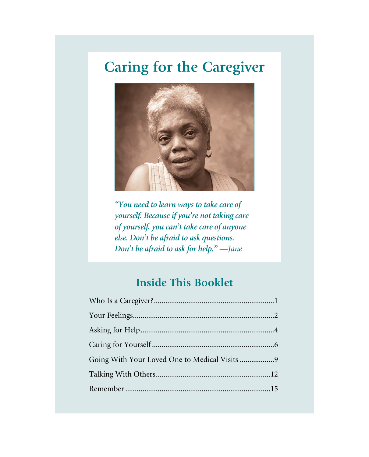## **Caring for the Caregiver**



*"You need to learn ways to take care of yourself. Because if you're not taking care of yourself, you can't take care of anyone else. Don't be afraid to ask questions. Don't be afraid to ask for help." —Jane*

### **Inside This Booklet**

| Going With Your Loved One to Medical Visits 9 |  |
|-----------------------------------------------|--|
|                                               |  |
|                                               |  |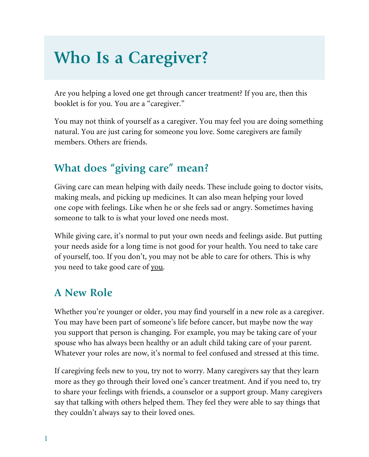# <span id="page-3-0"></span>**Who Is a Caregiver?**

Are you helping a loved one get through cancer treatment? If you are, then this booklet is for you. You are a "caregiver."

You may not think of yourself as a caregiver. You may feel you are doing something natural. You are just caring for someone you love. Some caregivers are family members. Others are friends.

#### **What does "giving care" mean?**

Giving care can mean helping with daily needs. These include going to doctor visits, making meals, and picking up medicines. It can also mean helping your loved one cope with feelings. Like when he or she feels sad or angry. Sometimes having someone to talk to is what your loved one needs most.

While giving care, it's normal to put your own needs and feelings aside. But putting your needs aside for a long time is not good for your health. You need to take care of yourself, too. If you don't, you may not be able to care for others. This is why you need to take good care of you.

#### **A New Role**

Whether you're younger or older, you may find yourself in a new role as a caregiver. You may have been part of someone's life before cancer, but maybe now the way you support that person is changing. For example, you may be taking care of your spouse who has always been healthy or an adult child taking care of your parent. Whatever your roles are now, it's normal to feel confused and stressed at this time.

If caregiving feels new to you, try not to worry. Many caregivers say that they learn more as they go through their loved one's cancer treatment. And if you need to, try to share your feelings with friends, a counselor or a support group. Many caregivers say that talking with others helped them. They feel they were able to say things that they couldn't always say to their loved ones.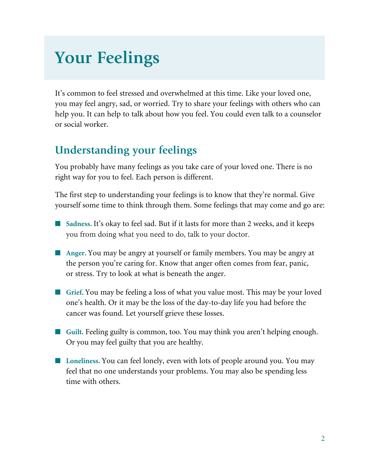## <span id="page-4-0"></span>**Your Feelings**

It's common to feel stressed and overwhelmed at this time. Like your loved one, you may feel angry, sad, or worried. Try to share your feelings with others who can help you. It can help to talk about how you feel. You could even talk to a counselor or social worker.

### **Understanding your feelings**

You probably have many feelings as you take care of your loved one. There is no right way for you to feel. Each person is different.

The first step to understanding your feelings is to know that they're normal. Give yourself some time to think through them. Some feelings that may come and go are:

- **Sadness.** It's okay to feel sad. But if it lasts for more than 2 weeks, and it keeps you from doing what you need to do, talk to your doctor.
- **Anger.** You may be angry at yourself or family members. You may be angry at the person you're caring for. Know that anger often comes from fear, panic, or stress. Try to look at what is beneath the anger.
- Grief. You may be feeling a loss of what you value most. This may be your loved one's health. Or it may be the loss of the day-to-day life you had before the cancer was found. Let yourself grieve these losses.
- Guilt. Feeling guilty is common, too. You may think you aren't helping enough. Or you may feel guilty that you are healthy.
- Loneliness. You can feel lonely, even with lots of people around you. You may feel that no one understands your problems. You may also be spending less time with others.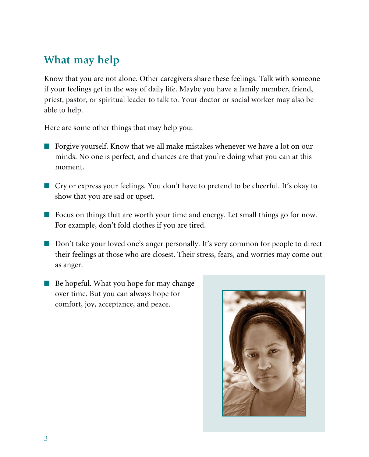### **What may help**

Know that you are not alone. Other caregivers share these feelings. Talk with someone if your feelings get in the way of daily life. Maybe you have a family member, friend, priest, pastor, or spiritual leader to talk to. Your doctor or social worker may also be able to help.

Here are some other things that may help you:

- Forgive yourself. Know that we all make mistakes whenever we have a lot on our minds. No one is perfect, and chances are that you're doing what you can at this moment.
- Cry or express your feelings. You don't have to pretend to be cheerful. It's okay to show that you are sad or upset.
- Focus on things that are worth your time and energy. Let small things go for now. For example, don't fold clothes if you are tired.
- Don't take your loved one's anger personally. It's very common for people to direct their feelings at those who are closest. Their stress, fears, and worries may come out as anger.
- Be hopeful. What you hope for may change over time. But you can always hope for comfort, joy, acceptance, and peace.

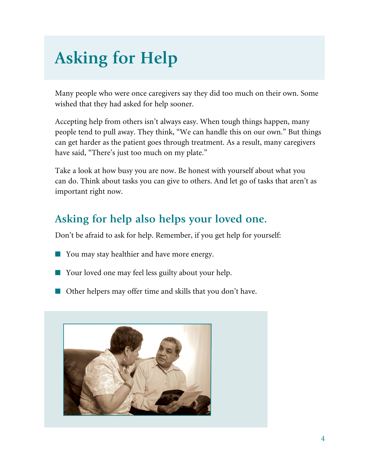# <span id="page-6-0"></span>**Asking for Help**

Many people who were once caregivers say they did too much on their own. Some wished that they had asked for help sooner.

Accepting help from others isn't always easy. When tough things happen, many people tend to pull away. They think, "We can handle this on our own." But things can get harder as the patient goes through treatment. As a result, many caregivers have said, "There's just too much on my plate."

Take a look at how busy you are now. Be honest with yourself about what you can do. Think about tasks you can give to others. And let go of tasks that aren't as important right now.

## **Asking for help also helps your loved one.**

Don't be afraid to ask for help. Remember, if you get help for yourself:

- You may stay healthier and have more energy.
- Your loved one may feel less guilty about your help.
- Other helpers may offer time and skills that you don't have.

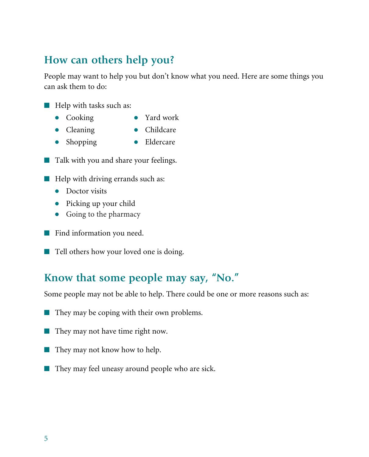#### **How can others help you?**

People may want to help you but don't know what you need. Here are some things you can ask them to do:

- Help with tasks such as:
	- Cooking
- Yard work
- Cleaning
- Childcare
- Shopping ● Eldercare
- Talk with you and share your feelings.
- Help with driving errands such as:
	- Doctor visits
	- Picking up your child
	- Going to the pharmacy
- Find information you need.
- Tell others how your loved one is doing.

#### **Know that some people may say, "No."**

Some people may not be able to help. There could be one or more reasons such as:

- They may be coping with their own problems.
- They may not have time right now.
- They may not know how to help.
- They may feel uneasy around people who are sick.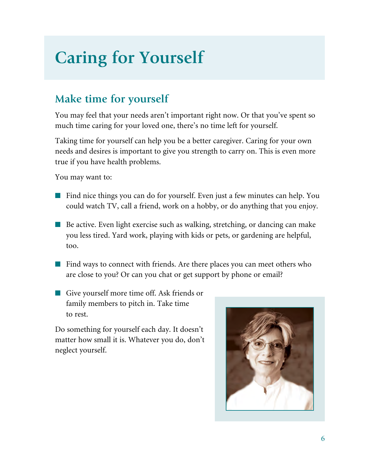# <span id="page-8-0"></span>**Caring for Yourself**

### **Make time for yourself**

You may feel that your needs aren't important right now. Or that you've spent so much time caring for your loved one, there's no time left for yourself.

Taking time for yourself can help you be a better caregiver. Caring for your own needs and desires is important to give you strength to carry on. This is even more true if you have health problems.

You may want to:

- Find nice things you can do for yourself. Even just a few minutes can help. You could watch TV, call a friend, work on a hobby, or do anything that you enjoy.
- Be active. Even light exercise such as walking, stretching, or dancing can make you less tired. Yard work, playing with kids or pets, or gardening are helpful, too.
- Find ways to connect with friends. Are there places you can meet others who are close to you? Or can you chat or get support by phone or email?
- Give yourself more time off. Ask friends or family members to pitch in. Take time to rest.

Do something for yourself each day. It doesn't matter how small it is. Whatever you do, don't neglect yourself.

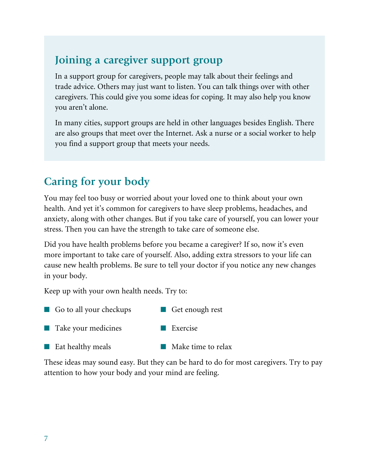#### **Joining a caregiver support group**

In a support group for caregivers, people may talk about their feelings and trade advice. Others may just want to listen. You can talk things over with other caregivers. This could give you some ideas for coping. It may also help you know you aren't alone.

In many cities, support groups are held in other languages besides English. There are also groups that meet over the Internet. Ask a nurse or a social worker to help you find a support group that meets your needs.

### **Caring for your body**

You may feel too busy or worried about your loved one to think about your own health. And yet it's common for caregivers to have sleep problems, headaches, and anxiety, along with other changes. But if you take care of yourself, you can lower your stress. Then you can have the strength to take care of someone else.

Did you have health problems before you became a caregiver? If so, now it's even more important to take care of yourself. Also, adding extra stressors to your life can cause new health problems. Be sure to tell your doctor if you notice any new changes in your body.

Keep up with your own health needs. Try to:



■ Eat healthy meals ■ Make time to relax

These ideas may sound easy. But they can be hard to do for most caregivers. Try to pay attention to how your body and your mind are feeling.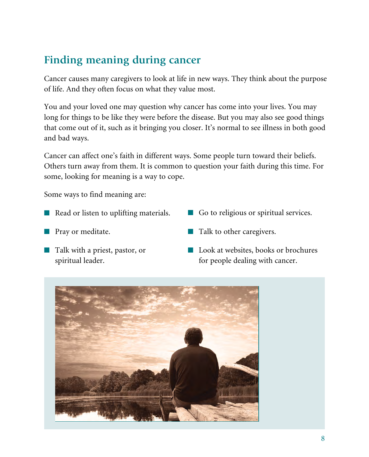### **Finding meaning during cancer**

Cancer causes many caregivers to look at life in new ways. They think about the purpose of life. And they often focus on what they value most.

You and your loved one may question why cancer has come into your lives. You may long for things to be like they were before the disease. But you may also see good things that come out of it, such as it bringing you closer. It's normal to see illness in both good and bad ways.

Cancer can affect one's faith in different ways. Some people turn toward their beliefs. Others turn away from them. It is common to question your faith during this time. For some, looking for meaning is a way to cope.

Some ways to find meaning are:

- Read or listen to uplifting materials.
- Pray or meditate.
- Talk with a priest, pastor, or spiritual leader.
- Go to religious or spiritual services.
- Talk to other caregivers.
- Look at websites, books or brochures for people dealing with cancer.

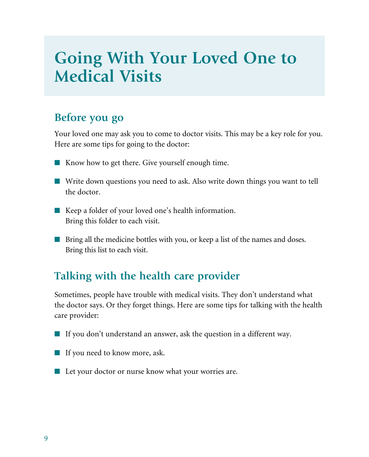## <span id="page-11-0"></span>**Going With Your Loved One to Medical Visits**

#### **Before you go**

Your loved one may ask you to come to doctor visits. This may be a key role for you. Here are some tips for going to the doctor:

- Know how to get there. Give yourself enough time.
- Write down questions you need to ask. Also write down things you want to tell the doctor.
- Keep a folder of your loved one's health information. Bring this folder to each visit.
- Bring all the medicine bottles with you, or keep a list of the names and doses. Bring this list to each visit.

### **Talking with the health care provider**

Sometimes, people have trouble with medical visits. They don't understand what the doctor says. Or they forget things. Here are some tips for talking with the health care provider:

- If you don't understand an answer, ask the question in a different way.
- If you need to know more, ask.
- Let your doctor or nurse know what your worries are.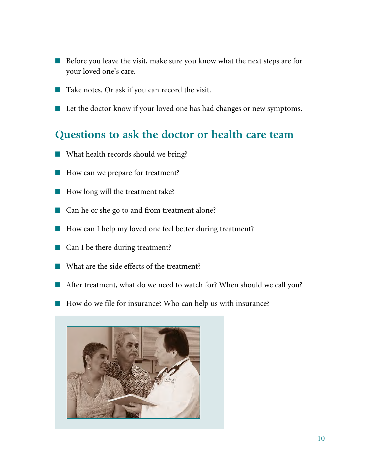- Before you leave the visit, make sure you know what the next steps are for your loved one's care.
- Take notes. Or ask if you can record the visit.
- Let the doctor know if your loved one has had changes or new symptoms.

#### **Questions to ask the doctor or health care team**

- What health records should we bring?
- How can we prepare for treatment?
- How long will the treatment take?
- Can he or she go to and from treatment alone?
- How can I help my loved one feel better during treatment?
- Can I be there during treatment?
- What are the side effects of the treatment?
- After treatment, what do we need to watch for? When should we call you?
- How do we file for insurance? Who can help us with insurance?

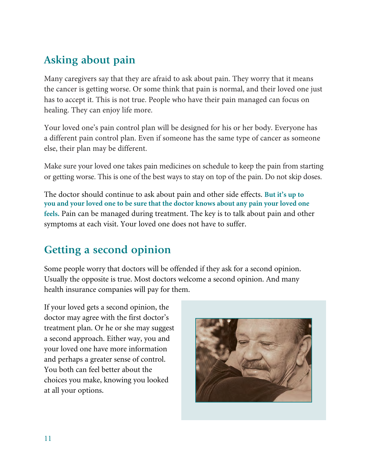### **Asking about pain**

Many caregivers say that they are afraid to ask about pain. They worry that it means the cancer is getting worse. Or some think that pain is normal, and their loved one just has to accept it. This is not true. People who have their pain managed can focus on healing. They can enjoy life more.

Your loved one's pain control plan will be designed for his or her body. Everyone has a different pain control plan. Even if someone has the same type of cancer as someone else, their plan may be different.

Make sure your loved one takes pain medicines on schedule to keep the pain from starting or getting worse. This is one of the best ways to stay on top of the pain. Do not skip doses.

The doctor should continue to ask about pain and other side effects. **But it's up to you and your loved one to be sure that the doctor knows about any pain your loved one feels.** Pain can be managed during treatment. The key is to talk about pain and other symptoms at each visit. Your loved one does not have to suffer.

### **Getting a second opinion**

Some people worry that doctors will be offended if they ask for a second opinion. Usually the opposite is true. Most doctors welcome a second opinion. And many health insurance companies will pay for them.

If your loved gets a second opinion, the doctor may agree with the first doctor's treatment plan. Or he or she may suggest a second approach. Either way, you and your loved one have more information and perhaps a greater sense of control. You both can feel better about the choices you make, knowing you looked at all your options.

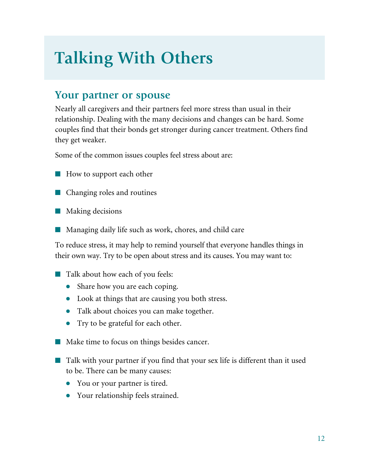# <span id="page-14-0"></span>**Talking With Others**

#### **Your partner or spouse**

Nearly all caregivers and their partners feel more stress than usual in their relationship. Dealing with the many decisions and changes can be hard. Some couples find that their bonds get stronger during cancer treatment. Others find they get weaker.

Some of the common issues couples feel stress about are:

- How to support each other
- Changing roles and routines
- Making decisions
- Managing daily life such as work, chores, and child care

To reduce stress, it may help to remind yourself that everyone handles things in their own way. Try to be open about stress and its causes. You may want to:

- Talk about how each of you feels:
	- Share how you are each coping.
	- Look at things that are causing you both stress.
	- Talk about choices you can make together.
	- Try to be grateful for each other.
- Make time to focus on things besides cancer.
- Talk with your partner if you find that your sex life is different than it used to be. There can be many causes:
	- You or your partner is tired.
	- Your relationship feels strained.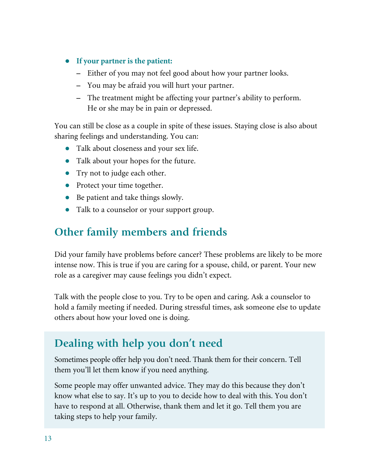- **If your partner is the patient:**
	- **–** Either of you may not feel good about how your partner looks.
	- **–** You may be afraid you will hurt your partner.
	- **–** The treatment might be affecting your partner's ability to perform. He or she may be in pain or depressed.

You can still be close as a couple in spite of these issues. Staying close is also about sharing feelings and understanding. You can:

- Talk about closeness and your sex life.
- Talk about your hopes for the future.
- Try not to judge each other.
- Protect your time together.
- Be patient and take things slowly.
- Talk to a counselor or your support group.

#### **Other family members and friends**

Did your family have problems before cancer? These problems are likely to be more intense now. This is true if you are caring for a spouse, child, or parent. Your new role as a caregiver may cause feelings you didn't expect.

Talk with the people close to you. Try to be open and caring. Ask a counselor to hold a family meeting if needed. During stressful times, ask someone else to update others about how your loved one is doing.

#### **Dealing with help you don't need**

Sometimes people offer help you don't need. Thank them for their concern. Tell them you'll let them know if you need anything.

Some people may offer unwanted advice. They may do this because they don't know what else to say. It's up to you to decide how to deal with this. You don't have to respond at all. Otherwise, thank them and let it go. Tell them you are taking steps to help your family.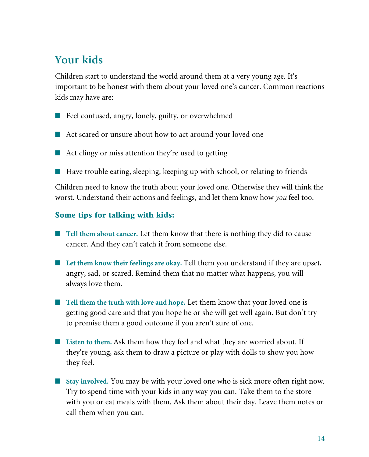### **Your kids**

Children start to understand the world around them at a very young age. It's important to be honest with them about your loved one's cancer. Common reactions kids may have are:

- Feel confused, angry, lonely, guilty, or overwhelmed
- Act scared or unsure about how to act around your loved one
- Act clingy or miss attention they're used to getting
- Have trouble eating, sleeping, keeping up with school, or relating to friends

Children need to know the truth about your loved one. Otherwise they will think the worst. Understand their actions and feelings, and let them know how *you* feel too.

#### Some tips for talking with kids:

- **Tell them about cancer.** Let them know that there is nothing they did to cause cancer. And they can't catch it from someone else.
- Let them know their feelings are okay. Tell them you understand if they are upset, angry, sad, or scared. Remind them that no matter what happens, you will always love them.
- **Tell them the truth with love and hope.** Let them know that your loved one is getting good care and that you hope he or she will get well again. But don't try to promise them a good outcome if you aren't sure of one.
- **Listen to them.** Ask them how they feel and what they are worried about. If they're young, ask them to draw a picture or play with dolls to show you how they feel.
- Stay involved. You may be with your loved one who is sick more often right now. Try to spend time with your kids in any way you can. Take them to the store with you or eat meals with them. Ask them about their day. Leave them notes or call them when you can.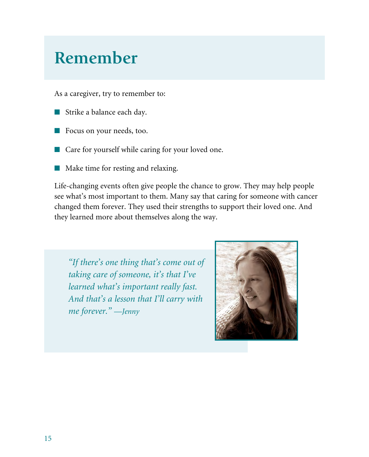## <span id="page-17-0"></span>**Remember**

As a caregiver, try to remember to:

- Strike a balance each day.
- Focus on your needs, too.
- Care for yourself while caring for your loved one.
- Make time for resting and relaxing.

Life-changing events often give people the chance to grow. They may help people see what's most important to them. Many say that caring for someone with cancer changed them forever. They used their strengths to support their loved one. And they learned more about themselves along the way.

*"If there's one thing that's come out of taking care of someone, it's that I've learned what's important really fast. And that's a lesson that I'll carry with me forever." —Jenny*

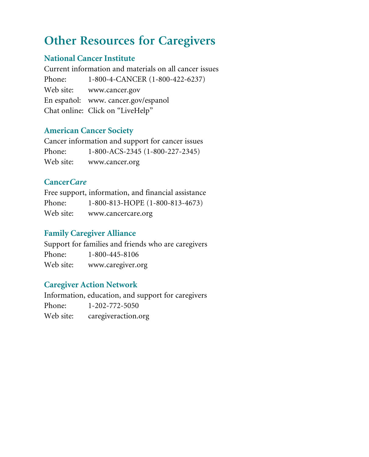## **Other Resources for Caregivers**

#### **National Cancer Institute**

Current information and materials on all cancer issues Phone: 1-800-4-CANCER (1-800-422-6237) Web site: [www.cancer.gov](http://www.cancer.gov) En español: [www. cancer.gov/espanol](http://www.cancer.gov/espanol) Chat online: Click on "LiveHelp"

#### **American Cancer Society**

Cancer information and support for cancer issues Phone: 1-800-ACS-2345 (1-800-227-2345) Web site: [www.cancer.org](http://www.cancer.org)

#### **Cancer***Care*

|           | Free support, information, and financial assistance |
|-----------|-----------------------------------------------------|
| Phone:    | 1-800-813-HOPE (1-800-813-4673)                     |
| Web site: | www.cancercare.org                                  |

#### **Family Caregiver Alliance**

Support for families and friends who are caregivers Phone: 1-800-445-8106 Web site: [www.caregiver.org](http://www.caregiver.org)

#### **Caregiver Action Network**

Information, education, and support for caregivers Phone: 1-202-772-5050 Web site: [caregiveraction.org](http://caregiveraction.org)